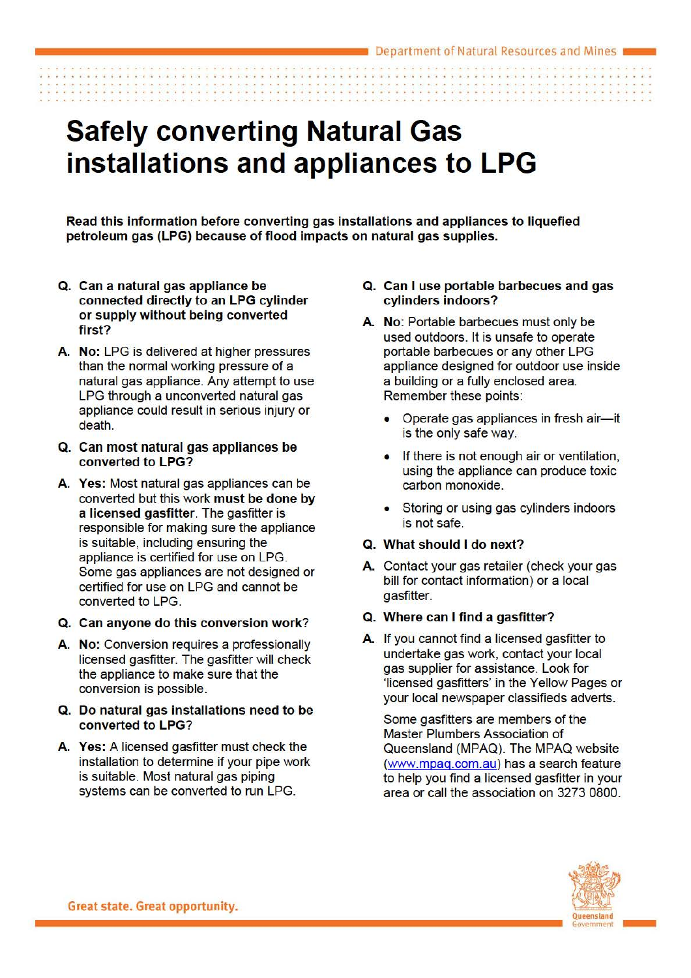# **Safely converting Natural Gas installations and appliances to LPG**

Read this information before converting gas installations and appliances to liquefied petroleum gas (LPG) because of flood impacts on natural gas supplies.

- a. Can a natural gas appliance be connected directly to an LPG cylinder or supply without being converted first?
- A. No: LPG is delivered at higher pressures than the normal working pressure of a natural gas appliance. Any attempt to use LPG through a unconverted natural gas appliance could result in serious injury or death.
- Q. Can most natural gas appliances be converted to LPG?
- A. Yes: Most natural gas appliances can be converted but this work must be done by a licensed gasfitter. The gasfitter is responsible for making sure the appliance is suitable, including ensuring the appliance is certified for use on LPG. Some gas appliances are not designed or certified for use on LPG and cannot be converted to LPG.
- Q. Can anyone do this conversion work?
- A. No: Conversion requires a professionally licensed gasfitter. The gasfitter will check the appliance to make sure that the conversion is possible.
- a. Do natural gas installations need to be converted to LPG?
- A. Yes: A licensed gasfitter must check the installation to determine if your pipe work is suitable. Most natural gas piping systems can be converted to run LPG.
- Q. Can I use portable barbecues and gas cylinders indoors?
- A. No: Portable barbecues must only be used outdoors. It is unsafe to operate portable barbecues or any other LPG appliance designed for outdoor use inside a building or a fully enclosed area. Remember these points:
	- Operate gas appliances in fresh air-it is the only safe way.
	- If there is not enough air or ventilation, using the appliance can produce toxic carbon monoxide.
	- Storing or using gas cylinders indoors is not safe.

## Q. What should I do next?

A. Contact your gas retailer (check your gas bill for contact information) or a local gasfitter.

## Q. Where can I find a gasfitter?

A. If you cannot find a licensed gasfitter to undertake gas work, contact your local gas supplier for assistance. Look for 'licensed gasfitters' in the Yellow Pages or your local newspaper classifieds adverts.

Some gasfitters are members of the Master Plumbers Association of Queensland (MPAQ). The MPAQ website [\(www.mpaq.com.au\)](http://intranet.dnrm.govnet.qld.gov.au/Energy/BNE/GP-DOE-MEDIA-COMM-BNE/Marketing%20-%20Mining/PUBLICATIONS/PRODUCTION%20REGISTER%20-%202013/PG%20-%20Petroleum%20and%20Gas/CC13-PG009_safely%20converting%20natural%20gas/www.mpaq.com.au) has a search feature to help you find a licensed gasfitter in your area or call the association on 3273 0800.